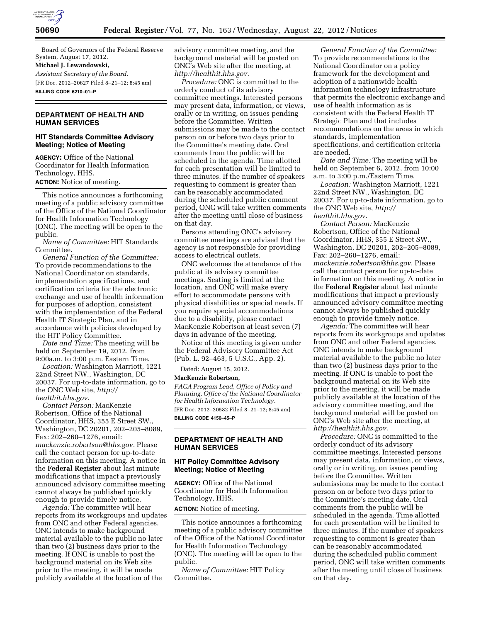

Board of Governors of the Federal Reserve System, August 17, 2012.

# **Michael J. Lewandowski,**

*Assistant Secretary of the Board.*  [FR Doc. 2012–20627 Filed 8–21–12; 8:45 am] **BILLING CODE 6210–01–P** 

## **DEPARTMENT OF HEALTH AND HUMAN SERVICES**

## **HIT Standards Committee Advisory Meeting; Notice of Meeting**

**AGENCY:** Office of the National Coordinator for Health Information Technology, HHS. **ACTION:** Notice of meeting.

This notice announces a forthcoming meeting of a public advisory committee of the Office of the National Coordinator for Health Information Technology (ONC). The meeting will be open to the public.

*Name of Committee:* HIT Standards Committee.

*General Function of the Committee:*  To provide recommendations to the National Coordinator on standards, implementation specifications, and certification criteria for the electronic exchange and use of health information for purposes of adoption, consistent with the implementation of the Federal Health IT Strategic Plan, and in accordance with policies developed by the HIT Policy Committee.

*Date and Time:* The meeting will be held on September 19, 2012, from 9:00a.m. to 3:00 p.m. Eastern Time.

*Location:* Washington Marriott, 1221 22nd Street NW., Washington, DC 20037. For up-to-date information, go to the ONC Web site, *[http://](http://healthit.hhs.gov)  [healthit.hhs.gov.](http://healthit.hhs.gov)* 

*Contact Person:* MacKenzie Robertson, Office of the National Coordinator, HHS, 355 E Street SW., Washington, DC 20201, 202–205–8089, Fax: 202–260–1276, email: *[mackenzie.robertson@hhs.gov.](mailto:mackenzie.robertson@hhs.gov)* Please call the contact person for up-to-date information on this meeting. A notice in the **Federal Register** about last minute modifications that impact a previously announced advisory committee meeting cannot always be published quickly enough to provide timely notice.

*Agenda:* The committee will hear reports from its workgroups and updates from ONC and other Federal agencies. ONC intends to make background material available to the public no later than two (2) business days prior to the meeting. If ONC is unable to post the background material on its Web site prior to the meeting, it will be made publicly available at the location of the

advisory committee meeting, and the background material will be posted on ONC's Web site after the meeting, at *[http://healthit.hhs.gov.](http://healthit.hhs.gov)* 

*Procedure:* ONC is committed to the orderly conduct of its advisory committee meetings. Interested persons may present data, information, or views, orally or in writing, on issues pending before the Committee. Written submissions may be made to the contact person on or before two days prior to the Committee's meeting date. Oral comments from the public will be scheduled in the agenda. Time allotted for each presentation will be limited to three minutes. If the number of speakers requesting to comment is greater than can be reasonably accommodated during the scheduled public comment period, ONC will take written comments after the meeting until close of business on that day.

Persons attending ONC's advisory committee meetings are advised that the agency is not responsible for providing access to electrical outlets.

ONC welcomes the attendance of the public at its advisory committee meetings. Seating is limited at the location, and ONC will make every effort to accommodate persons with physical disabilities or special needs. If you require special accommodations due to a disability, please contact MacKenzie Robertson at least seven (7) days in advance of the meeting.

Notice of this meeting is given under the Federal Advisory Committee Act (Pub. L. 92–463, 5 U.S.C., App. 2).

Dated: August 15, 2012.

#### **MacKenzie Robertson,**

*FACA Program Lead, Office of Policy and Planning, Office of the National Coordinator for Health Information Technology.*  [FR Doc. 2012–20582 Filed 8–21–12; 8:45 am] **BILLING CODE 4150–45–P** 

## **DEPARTMENT OF HEALTH AND HUMAN SERVICES**

### **HIT Policy Committee Advisory Meeting; Notice of Meeting**

**AGENCY:** Office of the National Coordinator for Health Information Technology, HHS.

**ACTION:** Notice of meeting.

This notice announces a forthcoming meeting of a public advisory committee of the Office of the National Coordinator for Health Information Technology (ONC). The meeting will be open to the public.

*Name of Committee:* HIT Policy Committee.

*General Function of the Committee:*  To provide recommendations to the National Coordinator on a policy framework for the development and adoption of a nationwide health information technology infrastructure that permits the electronic exchange and use of health information as is consistent with the Federal Health IT Strategic Plan and that includes recommendations on the areas in which standards, implementation specifications, and certification criteria are needed.

*Date and Time:* The meeting will be held on September 6, 2012, from 10:00 a.m. to 3:00 p.m./Eastern Time.

*Location:* Washington Marriott, 1221 22nd Street NW., Washington, DC 20037. For up-to-date information, go to the ONC Web site, *[http://](http://healthit.hhs.gov)  [healthit.hhs.gov](http://healthit.hhs.gov)*.

*Contact Person:* MacKenzie Robertson, Office of the National Coordinator, HHS, 355 E Street SW., Washington, DC 20201, 202–205–8089, Fax: 202–260–1276, email: *[mackenzie.robertson@hhs.gov](mailto:mackenzie.robertson@hhs.gov)*. Please call the contact person for up-to-date information on this meeting. A notice in the **Federal Register** about last minute modifications that impact a previously announced advisory committee meeting cannot always be published quickly enough to provide timely notice.

*Agenda:* The committee will hear reports from its workgroups and updates from ONC and other Federal agencies. ONC intends to make background material available to the public no later than two (2) business days prior to the meeting. If ONC is unable to post the background material on its Web site prior to the meeting, it will be made publicly available at the location of the advisory committee meeting, and the background material will be posted on ONC's Web site after the meeting, at *<http://healthit.hhs.gov>*.

*Procedure:* ONC is committed to the orderly conduct of its advisory committee meetings. Interested persons may present data, information, or views, orally or in writing, on issues pending before the Committee. Written submissions may be made to the contact person on or before two days prior to the Committee's meeting date. Oral comments from the public will be scheduled in the agenda. Time allotted for each presentation will be limited to three minutes. If the number of speakers requesting to comment is greater than can be reasonably accommodated during the scheduled public comment period, ONC will take written comments after the meeting until close of business on that day.